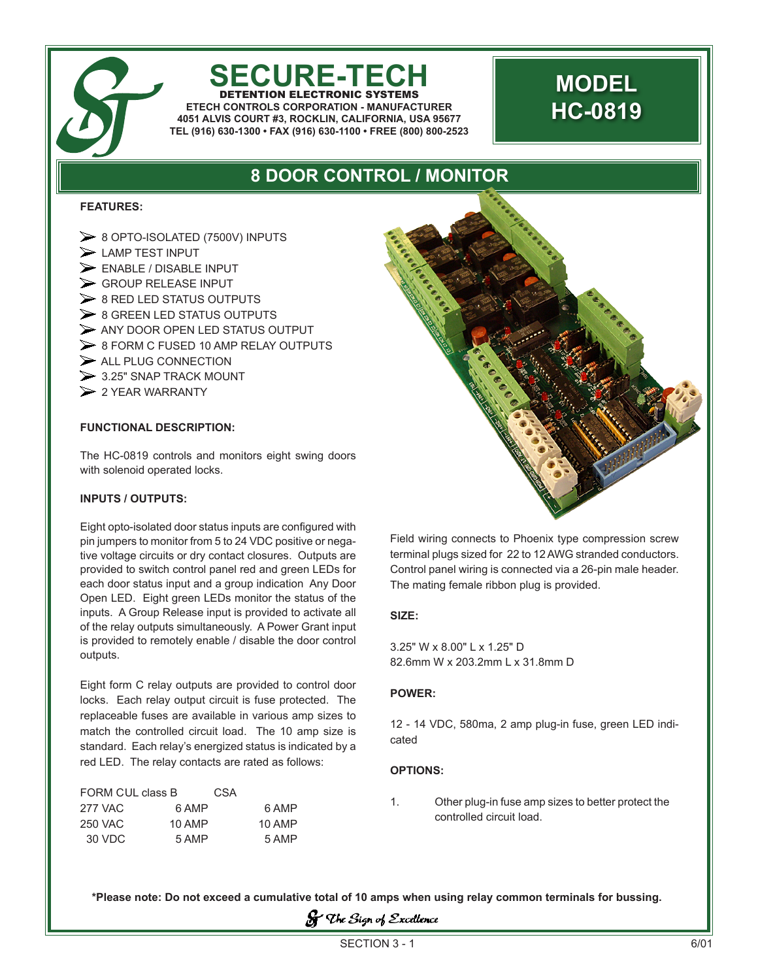

# **SECURE-TECH**

DETENTION ELECTRONIC SYSTEMS **ETECH CONTROLS CORPORATION - MANUFACTURER 4051 ALVIS COURT #3, ROCKLIN, CALIFORNIA, USA 95677 TEL (916) 630-1300 • FAX (916) 630-1100 • FREE (800) 800-2523**

## **MODEL HC-0819**

### **8 DOOR CONTROL / MONITOR**

#### **FEATURES:**

 8 OPTO-ISOLATED (7500V) INPUTS  $\blacktriangleright$  LAMP TEST INPUT  $\triangleright$  ENABLE / DISABLE INPUT Seroup RELEASE INPUT  $\geq 8$  RED LED STATUS OUTPUTS  $\geq 8$  GREEN LED STATUS OUTPUTS  $\triangleright$  ANY DOOR OPEN LED STATUS OUTPUT ▶ 8 FORM C FUSED 10 AMP RELAY OUTPUTS  $\triangleright$  ALL PLUG CONNECTION  $>$  3.25" SNAP TRACK MOUNT  $\geq$  2 YEAR WARRANTY

#### **FUNCTIONAL DESCRIPTION:**

The HC-0819 controls and monitors eight swing doors with solenoid operated locks.

#### **INPUTS / OUTPUTS:**

Eight opto-isolated door status inputs are configured with pin jumpers to monitor from 5 to 24 VDC positive or negative voltage circuits or dry contact closures. Outputs are provided to switch control panel red and green LEDs for each door status input and a group indication Any Door Open LED. Eight green LEDs monitor the status of the inputs. A Group Release input is provided to activate all of the relay outputs simultaneously. A Power Grant input is provided to remotely enable / disable the door control outputs.

Eight form C relay outputs are provided to control door locks. Each relay output circuit is fuse protected. The replaceable fuses are available in various amp sizes to match the controlled circuit load. The 10 amp size is standard. Each relay's energized status is indicated by a red LED. The relay contacts are rated as follows:

| FORM CUL class B |        | CSA |        |
|------------------|--------|-----|--------|
| 277 VAC          | 6 AMP  |     | 6 AMP  |
| 250 VAC          | 10 AMP |     | 10 AMP |
| 30 VDC           | 5 AMP  |     | 5 AMP  |



Field wiring connects to Phoenix type compression screw terminal plugs sized for 22 to 12 AWG stranded conductors. Control panel wiring is connected via a 26-pin male header. The mating female ribbon plug is provided.

#### **SIZE:**

3.25" W x 8.00" L x 1.25" D 82.6mm W x 203.2mm L x 31.8mm D

#### **POWER:**

12 - 14 VDC, 580ma, 2 amp plug-in fuse, green LED indicated

#### **OPTIONS:**

1. Other plug-in fuse amp sizes to better protect the controlled circuit load.

**\*Please note: Do not exceed a cumulative total of 10 amps when using relay common terminals for bussing.**

**S** The Sign of Excellence